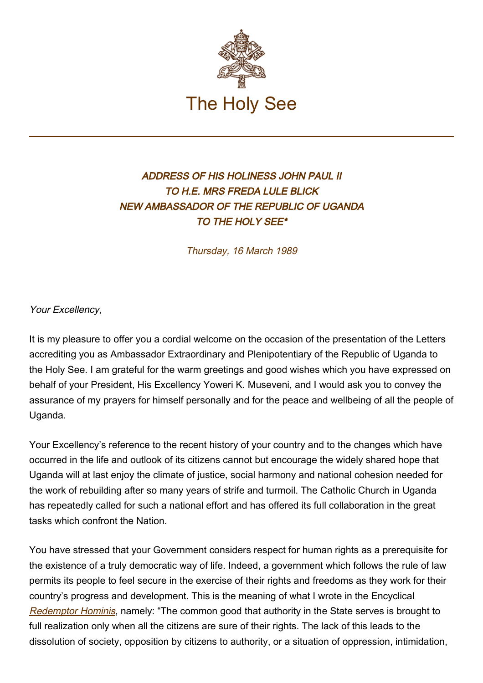

## ADDRESS OF HIS HOLINESS JOHN PAUL II TO H.E. MRS FREDA LULE BLICK NEW AMBASSADOR OF THE REPUBLIC OF UGANDA TO THE HOLY SEE\*

Thursday, 16 March 1989

Your Excellency,

It is my pleasure to offer you a cordial welcome on the occasion of the presentation of the Letters accrediting you as Ambassador Extraordinary and Plenipotentiary of the Republic of Uganda to the Holy See. I am grateful for the warm greetings and good wishes which you have expressed on behalf of your President, His Excellency Yoweri K. Museveni, and I would ask you to convey the assurance of my prayers for himself personally and for the peace and wellbeing of all the people of Uganda.

Your Excellency's reference to the recent history of your country and to the changes which have occurred in the life and outlook of its citizens cannot but encourage the widely shared hope that Uganda will at last enjoy the climate of justice, social harmony and national cohesion needed for the work of rebuilding after so many years of strife and turmoil. The Catholic Church in Uganda has repeatedly called for such a national effort and has offered its full collaboration in the great tasks which confront the Nation.

You have stressed that your Government considers respect for human rights as a prerequisite for the existence of a truly democratic way of life. Indeed, a government which follows the rule of law permits its people to feel secure in the exercise of their rights and freedoms as they work for their country's progress and development. This is the meaning of what I wrote in the Encyclical [Redemptor Hominis](http://www.vatican.va/edocs/ENG0218/_INDEX.HTM), namely: "The common good that authority in the State serves is brought to full realization only when all the citizens are sure of their rights. The lack of this leads to the dissolution of society, opposition by citizens to authority, or a situation of oppression, intimidation,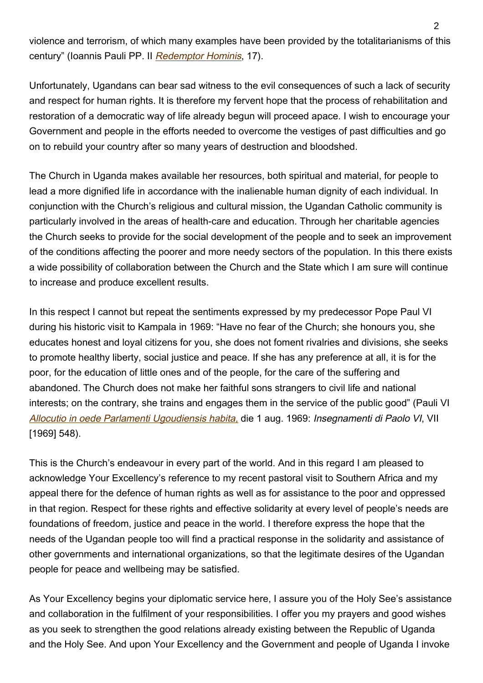violence and terrorism, of which many examples have been provided by the totalitarianisms of this century" (Ioannis Pauli PP. II [Redemptor Hominis](http://www.vatican.va/edocs/ENG0218/__PI.HTM), 17).

Unfortunately, Ugandans can bear sad witness to the evil consequences of such a lack of security and respect for human rights. It is therefore my fervent hope that the process of rehabilitation and restoration of a democratic way of life already begun will proceed apace. I wish to encourage your Government and people in the efforts needed to overcome the vestiges of past difficulties and go on to rebuild your country after so many years of destruction and bloodshed.

The Church in Uganda makes available her resources, both spiritual and material, for people to lead a more dignified life in accordance with the inalienable human dignity of each individual. In conjunction with the Church's religious and cultural mission, the Ugandan Catholic community is particularly involved in the areas of health-care and education. Through her charitable agencies the Church seeks to provide for the social development of the people and to seek an improvement of the conditions affecting the poorer and more needy sectors of the population. In this there exists a wide possibility of collaboration between the Church and the State which I am sure will continue to increase and produce excellent results.

In this respect I cannot but repeat the sentiments expressed by my predecessor Pope Paul VI during his historic visit to Kampala in 1969: "Have no fear of the Church; she honours you, she educates honest and loyal citizens for you, she does not foment rivalries and divisions, she seeks to promote healthy liberty, social justice and peace. If she has any preference at all, it is for the poor, for the education of little ones and of the people, for the care of the suffering and abandoned. The Church does not make her faithful sons strangers to civil life and national interests; on the contrary, she trains and engages them in the service of the public good" (Pauli VI [Allocutio in oede Parlamenti Ugoudiensis habita,](https://www.vatican.va/content/paul-vi/en/speeches/1969/august/documents/hf_p-vi_spe_19690801_parlamento-uganda.html) die 1 aug. 1969: Insegnamenti di Paolo VI, VII [1969] 548).

This is the Church's endeavour in every part of the world. And in this regard I am pleased to acknowledge Your Excellency's reference to my recent pastoral visit to Southern Africa and my appeal there for the defence of human rights as well as for assistance to the poor and oppressed in that region. Respect for these rights and effective solidarity at every level of people's needs are foundations of freedom, justice and peace in the world. I therefore express the hope that the needs of the Ugandan people too will find a practical response in the solidarity and assistance of other governments and international organizations, so that the legitimate desires of the Ugandan people for peace and wellbeing may be satisfied.

As Your Excellency begins your diplomatic service here, I assure you of the Holy See's assistance and collaboration in the fulfilment of your responsibilities. I offer you my prayers and good wishes as you seek to strengthen the good relations already existing between the Republic of Uganda and the Holy See. And upon Your Excellency and the Government and people of Uganda I invoke